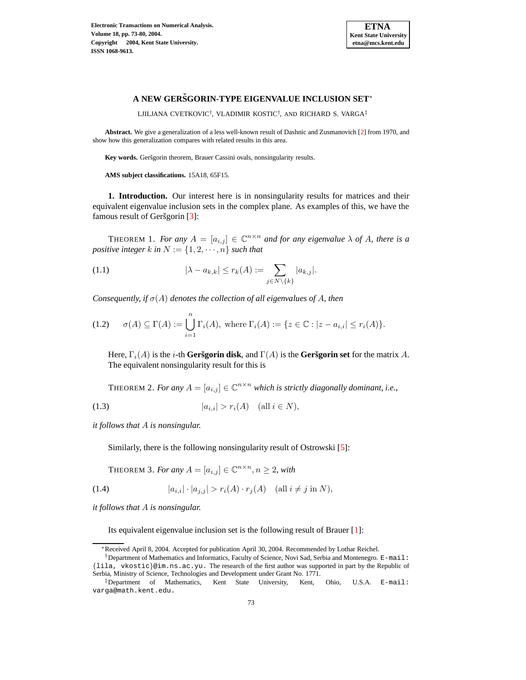

# **A NEW GERSGORIN-TYPE ˇ EIGENVALUE INCLUSION SET**<sup>∗</sup>

LJILJANA CVETKOVIC<sup>†</sup>, VLADIMIR KOSTIC<sup>†</sup>, AND RICHARD S. VARGA<sup>‡</sup>

**Abstract.** We give a generalization of a less well-known result of Dashnic and Zusmanovich [\[2\]](#page-7-0) from 1970, and show how this generalization compares with related results in this area.

Key words. Geršgorin theorem, Brauer Cassini ovals, nonsingularity results.

**AMS subject classifications.** 15A18, 65F15.

**1. Introduction.** Our interest here is in nonsingularity results for matrices and their equivalent eigenvalue inclusion sets in the complex plane. As examples of this, we have the famous result of Geršgorin [\[3\]](#page-7-1):

**THEOREM 1.** For any  $A = [a_{i,j}] \in \mathbb{C}^{n \times n}$  and for any eigenvalue  $\lambda$  of A, there is a *positive integer* k *in*  $N := \{1, 2, \dots, n\}$  *such that* 

<span id="page-0-0"></span>(1.1) 
$$
|\lambda - a_{k,k}| \le r_k(A) := \sum_{j \in N \setminus \{k\}} |a_{k,j}|.
$$

*Consequently, if*  $\sigma(A)$  *denotes the collection of all eigenvalues of A, then* 

<span id="page-0-2"></span>
$$
(1.2) \qquad \sigma(A) \subseteq \Gamma(A) := \bigcup_{i=1}^n \Gamma_i(A), \text{ where } \Gamma_i(A) := \{ z \in \mathbb{C} : |z - a_{i,i}| \le r_i(A) \}.
$$

Here,  $\Gamma_i(A)$  is the *i*-th **Gersgorin disk**, and  $\Gamma(A)$  is the **Gersgorin set** for the matrix A. The equivalent nonsingularity result for this is

THEOREM 2. For any  $A = [a_{i,j}] \in \mathbb{C}^{n \times n}$  which is strictly diagonally dominant, i.e.,

<span id="page-0-1"></span>(1.3) 
$$
|a_{i,i}| > r_i(A)
$$
 (all  $i \in N$ ),

*it follows that* A *is nonsingular.*

Similarly, there is the following nonsingularity result of Ostrowski [\[5\]](#page-7-2):

THEOREM 3. *For any*  $A = [a_{i,j}] \in \mathbb{C}^{n \times n}, n \geq 2$ , *with* 

(1.4) 
$$
|a_{i,i}| \cdot |a_{j,j}| > r_i(A) \cdot r_j(A) \quad (\text{all } i \neq j \text{ in } N),
$$

*it follows that* A *is nonsingular.*

Its equivalent eigenvalue inclusion set is the following result of Brauer [\[1\]](#page-7-3):

<sup>∗</sup>Received April 8, 2004. Accepted for publication April 30, 2004. Recommended by Lothar Reichel.

<sup>†</sup>Department of Mathematics and Informatics, Faculty of Science, Novi Sad, Serbia and Montenegro. E-mail: {lila, vkostic}@im.ns.ac.yu. The research of the first author was supported in part by the Republic of Serbia, Ministry of Science, Technologies and Development under Grant No. 1771.

<sup>‡</sup>Department of Mathematics, Kent State University, Kent, Ohio, U.S.A. E-mail: varga@math.kent.edu.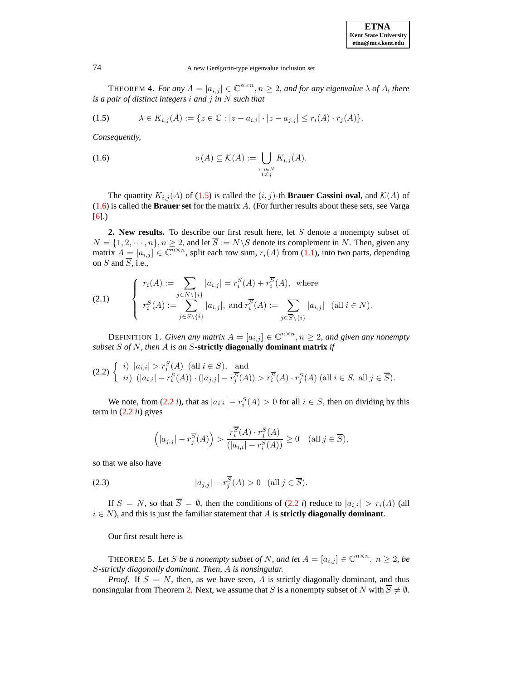| <b>ETNA</b>                  |
|------------------------------|
| <b>Kent State University</b> |
| etna@mcs.kent.edu            |

### 74 A new Geršgorin-type eigenvalue inclusion set

THEOREM 4. For any  $A = [a_{i,j}] \in \mathbb{C}^{n \times n}$ ,  $n \geq 2$ , and for any eigenvalue  $\lambda$  of A, there *is a pair of distinct integers* i *and* j *in* N *such that*

<span id="page-1-0"></span>
$$
(1.5) \qquad \lambda \in K_{i,j}(A) := \{ z \in \mathbb{C} : |z - a_{i,i}| \cdot |z - a_{j,j}| \le r_i(A) \cdot r_j(A) \}.
$$

<span id="page-1-1"></span>*Consequently,*

(1.6) 
$$
\sigma(A) \subseteq \mathcal{K}(A) := \bigcup_{\substack{i,j \in N \\ i \neq j}} K_{i,j}(A).
$$

The quantity  $K_{i,j}(A)$  of [\(1.5\)](#page-1-0) is called the  $(i, j)$ -th **Brauer Cassini oval**, and  $K(A)$  of [\(1.6\)](#page-1-1) is called the **Brauer set** for the matrix A. (For further results about these sets, see Varga [\[6\]](#page-7-4).)

**2. New results.** To describe our first result here, let S denote a nonempty subset of  $N = \{1, 2, \dots, n\}, n \ge 2$ , and let  $\overline{S} := N \setminus S$  denote its complement in N. Then, given any matrix  $A = [a_{i,j}] \in \mathbb{C}^{n \times n}$ , split each row sum,  $r_i(A)$  from [\(1.1\)](#page-0-0), into two parts, depending on S and  $\overline{S}$ , i.e.,

<span id="page-1-3"></span>(2.1) 
$$
\begin{cases} r_i(A) := \sum_{j \in N \setminus \{i\}} |a_{i,j}| = r_i^S(A) + r_i^{\overline{S}}(A), \text{ where} \\ r_i^S(A) := \sum_{j \in S \setminus \{i\}} |a_{i,j}|, \text{ and } r_i^{\overline{S}}(A) := \sum_{j \in \overline{S} \setminus \{i\}} |a_{i,j}| \text{ (all } i \in N). \end{cases}
$$

DEFINITION 1. *Given any matrix*  $A = [a_{i,j}] \in \mathbb{C}^{n \times n}, n \geq 2$ , and given any nonempty *subset* S *of* N*, then* A *is an* S**-strictly diagonally dominant matrix** *if*

<span id="page-1-2"></span>
$$
(2.2) \begin{cases} i) \ |a_{i,i}| > r_i^S(A) \ \text{(all } i \in S), \text{ and} \\ ii) \ (|a_{i,i}| - r_i^S(A)) \cdot (|a_{j,j}| - r_j^{\overline{S}}(A)) > r_i^{\overline{S}}(A) \cdot r_j^S(A) \ \text{(all } i \in S, \text{ all } j \in \overline{S}). \end{cases}
$$

We note, from [\(2.2](#page-1-2) *i*), that as  $|a_{i,i}| - r_i^S(A) > 0$  for all  $i \in S$ , then on dividing by this term in [\(2.2](#page-1-2) *ii*) gives

$$
\left(|a_{j,j}| - r_j^{\overline{S}}(A)\right) > \frac{r_i^{\overline{S}}(A) \cdot r_j^{S}(A)}{(|a_{i,i}| - r_i^{S}(A))} \ge 0 \quad (\text{all } j \in \overline{S}),
$$

so that we also have

(2.3) 
$$
|a_{j,j}| - r_j^{\overline{S}}(A) > 0 \text{ (all } j \in \overline{S}).
$$

If  $S = N$ , so that  $\overline{S} = \emptyset$ , then the conditions of  $(2.2 i)$  $(2.2 i)$  reduce to  $|a_{i,i}| > r_i(A)$  (all  $i \in N$ ), and this is just the familiar statement that A is **strictly diagonally dominant**.

Our first result here is

<span id="page-1-4"></span>THEOREM 5. Let S be a nonempty subset of N, and let  $A = [a_{i,j}] \in \mathbb{C}^{n \times n}$ ,  $n \ge 2$ , be S*-strictly diagonally dominant. Then,* A *is nonsingular.*

*Proof.* If  $S = N$ , then, as we have seen, A is strictly diagonally dominant, and thus nonsingular from Theorem [2.](#page-0-1) Next, we assume that S is a nonempty subset of N with  $\overline{S} \neq \emptyset$ .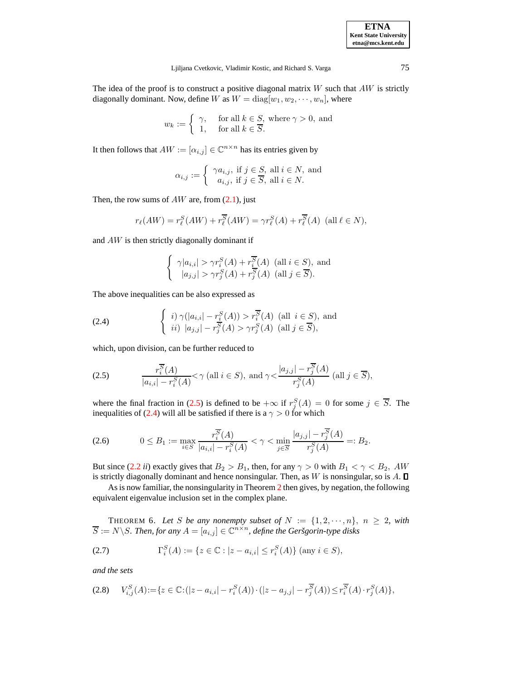| <b>ETNA</b>                  |
|------------------------------|
| <b>Kent State University</b> |
| etna@mcs.kent.edu            |

Ljiljana Cvetkovic, Vladimir Kostic, and Richard S. Varga 75

The idea of the proof is to construct a positive diagonal matrix  $W$  such that  $AW$  is strictly diagonally dominant. Now, define W as  $W = diag[w_1, w_2, \dots, w_n]$ , where

$$
w_k := \begin{cases} \gamma, & \text{for all } k \in S, \text{ where } \gamma > 0, \text{ and} \\ 1, & \text{for all } k \in \overline{S}. \end{cases}
$$

It then follows that  $AW := [\alpha_{i,j}] \in \mathbb{C}^{n \times n}$  has its entries given by

$$
\alpha_{i,j} := \begin{cases} \gamma a_{i,j}, \text{ if } j \in S, \text{ all } i \in N, \text{ and} \\ a_{i,j}, \text{ if } j \in \overline{S}, \text{ all } i \in N. \end{cases}
$$

Then, the row sums of  $AW$  are, from  $(2.1)$ , just

$$
r_{\ell}(AW) = r_{\ell}^{S}(AW) + r_{\ell}^{\overline{S}}(AW) = \gamma r_{\ell}^{S}(A) + r_{\ell}^{\overline{S}}(A) \text{ (all } \ell \in N),
$$

and AW is then strictly diagonally dominant if

$$
\begin{cases} \gamma |a_{i,i}| > \gamma r_i^S(A) + r_i^{\overline{S}}(A) \text{ (all } i \in S), \text{ and} \\ |a_{j,j}| > \gamma r_j^S(A) + r_j^{\overline{S}}(A) \text{ (all } j \in \overline{S}). \end{cases}
$$

The above inequalities can be also expressed as

<span id="page-2-1"></span>(2.4) 
$$
\begin{cases} i) \gamma(|a_{i,i}| - r_i^S(A)) > r_i^{\overline{S}}(A) \text{ (all } i \in S), \text{ and} \\ ii) |a_{j,j}| - r_j^{\overline{S}}(A) > \gamma r_j^S(A) \text{ (all } j \in \overline{S}), \end{cases}
$$

which, upon division, can be further reduced to

<span id="page-2-0"></span>
$$
(2.5) \qquad \qquad \frac{r_i^{\overline{S}}(A)}{|a_{i,i}|-r_i^S(A)} < \gamma \text{ (all } i \in S), \text{ and } \gamma < \frac{|a_{j,j}|-r_j^{\overline{S}}(A)}{r_j^S(A)} \text{ (all } j \in \overline{S}),
$$

where the final fraction in [\(2.5\)](#page-2-0) is defined to be  $+\infty$  if  $r_j^S(A) = 0$  for some  $j \in \overline{S}$ . The inequalities of [\(2.4\)](#page-2-1) will all be satisfied if there is a  $\gamma > 0$  for which

<span id="page-2-5"></span>
$$
(2.6) \t 0 \leq B_1 := \max_{i \in S} \frac{r_i^{\overline{S}}(A)}{|a_{i,i}| - r_i^S(A)} < \gamma < \min_{j \in \overline{S}} \frac{|a_{j,j}| - r_j^{\overline{S}}(A)}{r_j^S(A)} =: B_2.
$$

But since [\(2.2](#page-1-2) *ii*) exactly gives that  $B_2 > B_1$ , then, for any  $\gamma > 0$  with  $B_1 < \gamma < B_2$ , AW is strictly diagonally dominant and hence nonsingular. Then, as  $W$  is nonsingular, so is  $A$ .  $\Box$ 

As is now familiar, the nonsingularity in Theorem [2](#page-0-1) then gives, by negation, the following equivalent eigenvalue inclusion set in the complex plane.

<span id="page-2-2"></span>THEOREM 6. Let S be any nonempty subset of  $N := \{1, 2, \dots, n\}$ ,  $n \ge 2$ , with  $\overline{S} := N \backslash S$ . Then, for any  $A = [a_{i,j}] \in \mathbb{C}^{n \times n}$ , define the Geršgorin-type disks

<span id="page-2-3"></span>(2.7) 
$$
\Gamma_i^S(A) := \{ z \in \mathbb{C} : |z - a_{i,i}| \le r_i^S(A) \} \text{ (any } i \in S),
$$

*and the sets*

<span id="page-2-4"></span>
$$
(2.8) \tV_{i,j}^S(A) := \{ z \in \mathbb{C} : (|z - a_{i,i}| - r_i^S(A)) \cdot (|z - a_{j,j}| - r_j^{\overline{S}}(A)) \le r_i^{\overline{S}}(A) \cdot r_j^S(A) \},
$$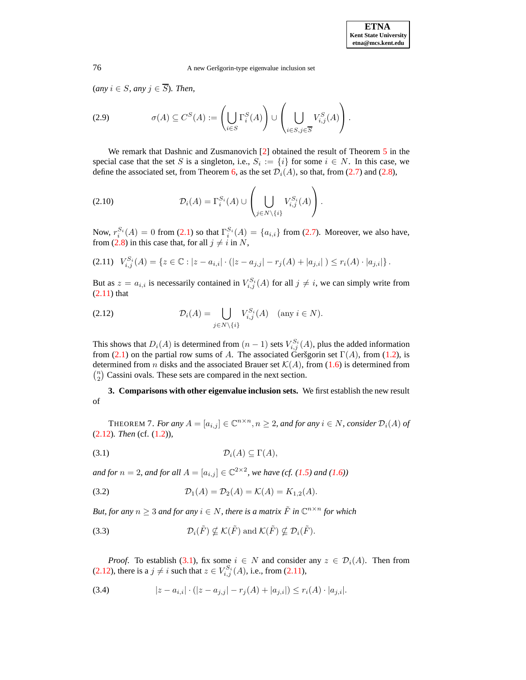$(\text{any } i \in S, \text{ any } j \in \overline{S})$ . *Then,* 

<span id="page-3-7"></span>(2.9) 
$$
\sigma(A) \subseteq C^{S}(A) := \left(\bigcup_{i \in S} \Gamma_{i}^{S}(A)\right) \cup \left(\bigcup_{i \in S, j \in \overline{S}} V_{i,j}^{S}(A)\right).
$$

We remark that Dashnic and Zusmanovich [\[2\]](#page-7-0) obtained the result of Theorem [5](#page-1-4) in the special case that the set S is a singleton, i.e.,  $S_i := \{i\}$  for some  $i \in N$ . In this case, we define the associated set, from Theorem [6,](#page-2-2) as the set  $\mathcal{D}_i(A)$ , so that, from [\(2.7\)](#page-2-3) and [\(2.8\)](#page-2-4),

(2.10) 
$$
\mathcal{D}_i(A) = \Gamma_i^{S_i}(A) \cup \left(\bigcup_{j \in N \setminus \{i\}} V_{i,j}^{S_i}(A)\right).
$$

Now,  $r_i^{S_i}(A) = 0$  from [\(2.1\)](#page-1-3) so that  $\Gamma_i^{S_i}(A) = \{a_{i,i}\}\$  from [\(2.7\)](#page-2-3). Moreover, we also have, from [\(2.8\)](#page-2-4) in this case that, for all  $j \neq i$  in N,

<span id="page-3-0"></span>
$$
(2.11) \quad V_{i,j}^{S_i}(A) = \{ z \in \mathbb{C} : |z - a_{i,i}| \cdot (|z - a_{j,j}| - r_j(A) + |a_{j,i}|) \le r_i(A) \cdot |a_{j,i}| \}.
$$

But as  $z = a_{i,i}$  is necessarily contained in  $V_{i,j}^{S_i}(A)$  for all  $j \neq i$ , we can simply write from [\(2.11\)](#page-3-0) that

<span id="page-3-1"></span>(2.12) 
$$
\mathcal{D}_i(A) = \bigcup_{j \in N \setminus \{i\}} V_{i,j}^{S_i}(A) \quad (\text{any } i \in N).
$$

This shows that  $D_i(A)$  is determined from  $(n-1)$  sets  $V^{S_i}_{i,j}(A)$ , plus the added information from [\(2.1\)](#page-1-3) on the partial row sums of A. The associated Geršgorin set  $\Gamma(A)$ , from [\(1.2\)](#page-0-2), is determined from *n* disks and the associated Brauer set  $\mathcal{K}(A)$ , from [\(1.6\)](#page-1-1) is determined from  $\binom{n}{2}$  Cassini ovals. These sets are compared in the next section.

**3. Comparisons with other eigenvalue inclusion sets.** We first establish the new result of

<span id="page-3-6"></span>THEOREM 7. For any  $A = [a_{i,j}] \in \mathbb{C}^{n \times n}, n \geq 2$ , and for any  $i \in N$ , consider  $\mathcal{D}_i(A)$  of [\(2.12\)](#page-3-1)*. Then* (cf. [\(1.2\)](#page-0-2))*,*

<span id="page-3-2"></span>
$$
(3.1) \t\t \mathcal{D}_i(A) \subseteq \Gamma(A),
$$

<span id="page-3-4"></span>*and for*  $n = 2$ *, and for all*  $A = [a_{i,j}] \in \mathbb{C}^{2 \times 2}$ *, we have (cf.* [\(1.5\)](#page-1-0) *and* [\(1.6\)](#page-1-1))

(3.2) 
$$
\mathcal{D}_1(A) = \mathcal{D}_2(A) = \mathcal{K}(A) = K_{1,2}(A).
$$

<span id="page-3-5"></span>*But, for any*  $n \geq 3$  *and for any*  $i \in N$ *, there is a matrix*  $\tilde{F}$  *in*  $\mathbb{C}^{n \times n}$  *for which* 

(3.3) 
$$
\mathcal{D}_i(\tilde{F}) \nsubseteq \mathcal{K}(\tilde{F}) \text{ and } \mathcal{K}(\tilde{F}) \nsubseteq \mathcal{D}_i(\tilde{F}).
$$

*Proof.* To establish [\(3.1\)](#page-3-2), fix some  $i \in N$  and consider any  $z \in \mathcal{D}_i(A)$ . Then from [\(2.12\)](#page-3-1), there is a  $j \neq i$  such that  $z \in V^{S_i}_{i,j}(A)$ , i.e., from [\(2.11\)](#page-3-0),

<span id="page-3-3"></span>
$$
(3.4) \t\t |z - a_{i,i}| \cdot (|z - a_{j,j}| - r_j(A) + |a_{j,i}|) \le r_i(A) \cdot |a_{j,i}|.
$$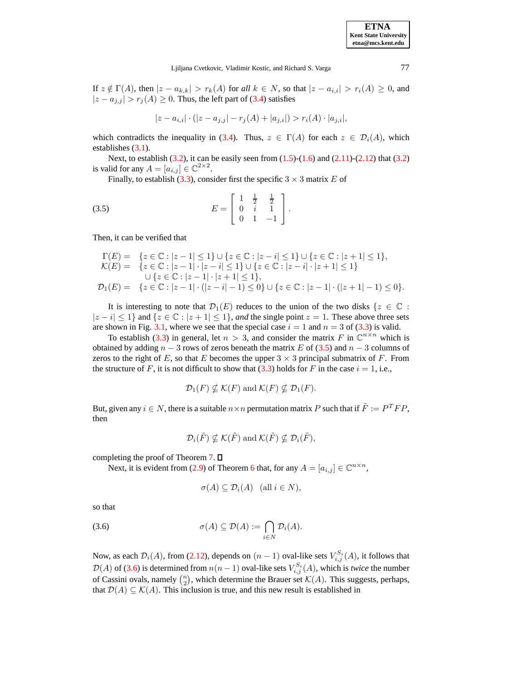If  $z \notin \Gamma(A)$ , then  $|z - a_{k,k}| > r_k(A)$  for all  $k \in N$ , so that  $|z - a_{i,i}| > r_i(A) \geq 0$ , and  $|z - a_{j,j}| > r_j(A) \ge 0$ . Thus, the left part of [\(3.4\)](#page-3-3) satisfies

$$
|z - a_{i,i}| \cdot (|z - a_{j,j}| - r_j(A) + |a_{j,i}|) > r_i(A) \cdot |a_{j,i}|,
$$

which contradicts the inequality in [\(3.4\)](#page-3-3). Thus,  $z \in \Gamma(A)$  for each  $z \in \mathcal{D}_i(A)$ , which establishes  $(3.1)$ .

Next, to establish [\(3.2\)](#page-3-4), it can be easily seen from  $(1.5)-(1.6)$  $(1.5)-(1.6)$  $(1.5)-(1.6)$  and  $(2.11)-(2.12)$  $(2.11)-(2.12)$  $(2.11)-(2.12)$  that (3.2) is valid for any  $A = [a_{i,j}] \in \mathbb{C}^{2 \times 2}$ .

<span id="page-4-0"></span>Finally, to establish [\(3.3\)](#page-3-5), consider first the specific  $3 \times 3$  matrix E of

(3.5) 
$$
E = \begin{bmatrix} 1 & \frac{1}{2} & \frac{1}{2} \\ 0 & i & 1 \\ 0 & 1 & -1 \end{bmatrix}.
$$

Then, it can be verified that

$$
\Gamma(E) = \{ z \in \mathbb{C} : |z - 1| \le 1 \} \cup \{ z \in \mathbb{C} : |z - i| \le 1 \} \cup \{ z \in \mathbb{C} : |z + 1| \le 1 \},
$$
\n
$$
\mathcal{K}(E) = \{ z \in \mathbb{C} : |z - 1| \cdot |z - i| \le 1 \} \cup \{ z \in \mathbb{C} : |z - i| \cdot |z + 1| \le 1 \}
$$
\n
$$
\cup \{ z \in \mathbb{C} : |z - 1| \cdot |z + 1| \le 1 \},
$$
\n
$$
\mathcal{D}_1(E) = \{ z \in \mathbb{C} : |z - 1| \cdot (|z - i| - 1) \le 0 \} \cup \{ z \in \mathbb{C} : |z - 1| \cdot (|z + 1| - 1) \le 0 \}.
$$

It is interesting to note that  $\mathcal{D}_1(E)$  reduces to the union of the two disks  $\{z \in \mathbb{C} :$  $|z - i| \le 1$  and  $\{z \in \mathbb{C} : |z + 1| \le 1\}$ , *and* the single point  $z = 1$ . These above three sets are shown in Fig. [3.1,](#page-7-5) where we see that the special case  $i = 1$  and  $n = 3$  of [\(3.3\)](#page-3-5) is valid.

To establish [\(3.3\)](#page-3-5) in general, let  $n > 3$ , and consider the matrix F in  $\mathbb{C}^{n \times n}$  which is obtained by adding  $n - 3$  rows of zeros beneath the matrix E of [\(3.5\)](#page-4-0) and  $n - 3$  columns of zeros to the right of E, so that E becomes the upper  $3 \times 3$  principal submatrix of F. From the structure of F, it is not difficult to show that [\(3.3\)](#page-3-5) holds for F in the case  $i = 1$ , i.e.,

$$
\mathcal{D}_1(F) \nsubseteq \mathcal{K}(F)
$$
 and  $\mathcal{K}(F) \nsubseteq \mathcal{D}_1(F)$ .

But, given any  $i \in N$ , there is a suitable  $n \times n$  permutation matrix P such that if  $\tilde{F} := P^T F P$ , then

$$
\mathcal{D}_i(\tilde{F}) \nsubseteq \mathcal{K}(\tilde{F})
$$
 and  $\mathcal{K}(\tilde{F}) \nsubseteq \mathcal{D}_i(\tilde{F}),$ 

completing the proof of Theorem [7.](#page-3-6)  $\square$ 

Next, it is evident from [\(2.9\)](#page-3-7) of Theorem [6](#page-2-2) that, for any  $A = [a_{i,j}] \in \mathbb{C}^{n \times n}$ ,

$$
\sigma(A) \subseteq \mathcal{D}_i(A) \quad \text{(all } i \in N),
$$

<span id="page-4-1"></span>so that

(3.6) 
$$
\sigma(A) \subseteq \mathcal{D}(A) := \bigcap_{i \in N} \mathcal{D}_i(A).
$$

Now, as each  $\mathcal{D}_i(A)$ , from [\(2.12\)](#page-3-1), depends on  $(n-1)$  oval-like sets  $V_{i,j}^{S_i}(A)$ , it follows that  $\mathcal{D}(A)$  of [\(3.6\)](#page-4-1) is determined from  $n(n-1)$  oval-like sets  $V_{i,j}^{S_i}(A)$ , which is *twice* the number of Cassini ovals, namely  $\binom{n}{2}$ , which determine the Brauer set  $\mathcal{K}(A)$ . This suggests, perhaps, that  $\mathcal{D}(A) \subseteq \mathcal{K}(A)$ . This inclusion is true, and this new result is established in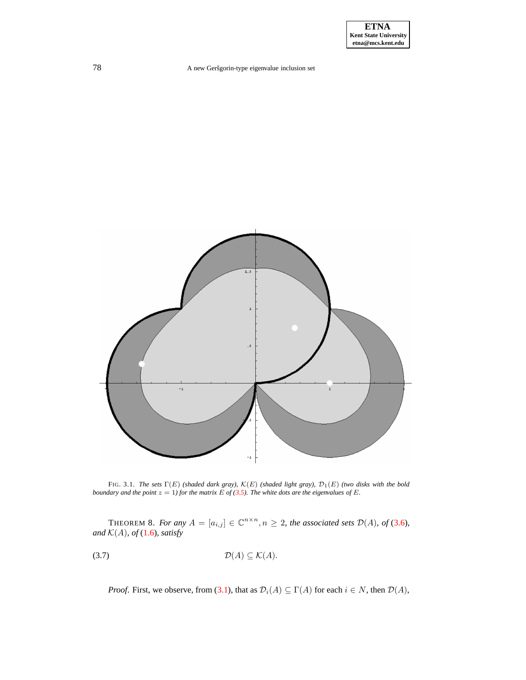## 78 A new Geršgorin-type eigenvalue inclusion set



FIG. 3.1. *The sets*  $\Gamma(E)$  *(shaded dark gray),*  $\mathcal{K}(E)$  *(shaded light gray),*  $\mathcal{D}_1(E)$  *(two disks with the bold* boundary and the point  $z = 1$ ) for the matrix E of [\(3.5\)](#page-4-0). The white dots are the eigenvalues of E.

THEOREM 8. For any  $A = [a_{i,j}] \in \mathbb{C}^{n \times n}$ ,  $n \geq 2$ , the associated sets  $\mathcal{D}(A)$ , of [\(3.6\)](#page-4-1), and  $\mathcal{K}(A)$ *, of* [\(1.6\)](#page-1-1)*, satisfy* 

<span id="page-5-0"></span>
$$
\mathcal{D}(A) \subseteq \mathcal{K}(A).
$$

*Proof.* First, we observe, from [\(3.1\)](#page-3-2), that as  $\mathcal{D}_i(A) \subseteq \Gamma(A)$  for each  $i \in N$ , then  $\mathcal{D}(A)$ ,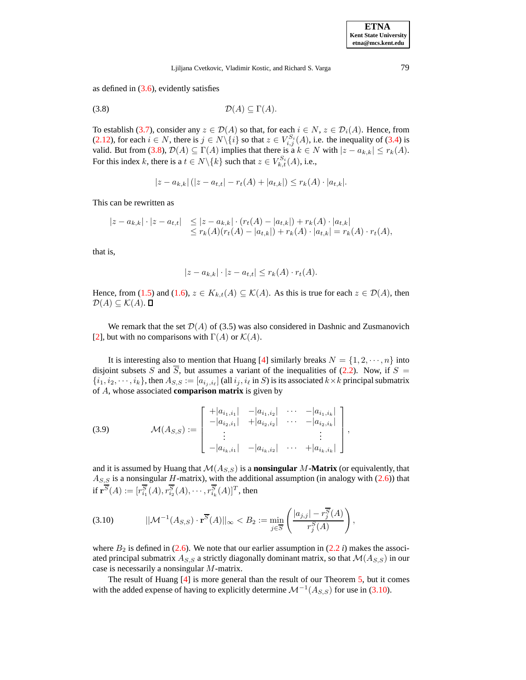<span id="page-6-0"></span>as defined in  $(3.6)$ , evidently satisfies

$$
\mathcal{D}(A) \subseteq \Gamma(A).
$$

To establish [\(3.7\)](#page-5-0), consider any  $z \in \mathcal{D}(A)$  so that, for each  $i \in N$ ,  $z \in \mathcal{D}_i(A)$ . Hence, from [\(2.12\)](#page-3-1), for each  $i \in N$ , there is  $j \in N \setminus \{i\}$  so that  $z \in V^{S_i}_{i,j}(A)$ , i.e. the inequality of [\(3.4\)](#page-3-3) is valid. But from [\(3.8\)](#page-6-0),  $\mathcal{D}(A) \subseteq \Gamma(A)$  implies that there is a  $k \in N$  with  $|z - a_{k,k}| \leq r_k(A)$ . For this index k, there is a  $t \in N \setminus \{k\}$  such that  $z \in V_{k,t}^{S_i}(A)$ , i.e.,

$$
|z - a_{k,k}| (|z - a_{t,k}| - r_t(A) + |a_{t,k}|) \le r_k(A) \cdot |a_{t,k}|.
$$

This can be rewritten as

$$
|z - a_{k,k}| \cdot |z - a_{t,k}| \leq |z - a_{k,k}| \cdot (r_t(A) - |a_{t,k}|) + r_k(A) \cdot |a_{t,k}|
$$
  
\n
$$
\leq r_k(A)(r_t(A) - |a_{t,k}|) + r_k(A) \cdot |a_{t,k}| = r_k(A) \cdot r_t(A),
$$

that is,

$$
|z - a_{k,k}| \cdot |z - a_{t,k}| \le r_k(A) \cdot r_t(A).
$$

Hence, from [\(1.5\)](#page-1-0) and [\(1.6\)](#page-1-1),  $z \in K_{k,t}(A) \subseteq \mathcal{K}(A)$ . As this is true for each  $z \in \mathcal{D}(A)$ , then  $\mathcal{D}(A) \subseteq \mathcal{K}(A)$ .

We remark that the set  $\mathcal{D}(A)$  of (3.5) was also considered in Dashnic and Zusmanovich [\[2\]](#page-7-0), but with no comparisons with  $\Gamma(A)$  or  $\mathcal{K}(A)$ .

It is interesting also to mention that Huang [\[4\]](#page-7-6) similarly breaks  $N = \{1, 2, \dots, n\}$  into disjoint subsets S and  $\overline{S}$ , but assumes a variant of the inequalities of [\(2.2\)](#page-1-2). Now, if S =  $\{i_1, i_2, \dots, i_k\}$ , then  $A_{S,S} := [a_{i_j, i_\ell}]$  (all  $i_j, i_\ell$  in S) is its associated  $k \times k$  principal submatrix of A, whose associated **comparison matrix** is given by

(3.9) 
$$
\mathcal{M}(A_{S,S}) := \begin{bmatrix} +|a_{i_1,i_1}| & -|a_{i_1,i_2}| & \cdots & -|a_{i_1,i_k}| \\ -|a_{i_2,i_1}| & +|a_{i_2,i_2}| & \cdots & -|a_{i_2,i_k}| \\ \vdots & \vdots & \ddots & \vdots \\ -|a_{i_k,i_1}| & -|a_{i_k,i_2}| & \cdots & +|a_{i_k,i_k}| \end{bmatrix},
$$

and it is assumed by Huang that  $\mathcal{M}(A_{S,S})$  is a **nonsingular** M**-Matrix** (or equivalently, that  $A_{S,S}$  is a nonsingular H-matrix), with the additional assumption (in analogy with [\(2.6\)](#page-2-5)) that if  $\mathbf{r}^{\overline{S}}(A):=[r_{i_1}^{\overline{S}}(A), r_{i_2}^{\overline{S}}(A), \cdots, r_{i_k}^{\overline{S}}(A)]^T$ , then

<span id="page-6-1"></span>(3.10) 
$$
||\mathcal{M}^{-1}(A_{S,S}) \cdot \mathbf{r}^{\overline{S}}(A)||_{\infty} < B_2 := \min_{j \in \overline{S}} \left( \frac{|a_{j,j}| - r_j^{\overline{S}}(A)}{r_j^S(A)} \right),
$$

where  $B_2$  is defined in [\(2.6\)](#page-2-5). We note that our earlier assumption in [\(2.2](#page-1-2) *i*) makes the associated principal submatrix  $A_{S,S}$  a strictly diagonally dominant matrix, so that  $\mathcal{M}(A_{S,S})$  in our case is necessarily a nonsingular M-matrix.

The result of Huang [\[4\]](#page-7-6) is more general than the result of our Theorem [5,](#page-1-4) but it comes with the added expense of having to explicitly determine  $\mathcal{M}^{-1}(A_{S,S})$  for use in [\(3.10\)](#page-6-1).